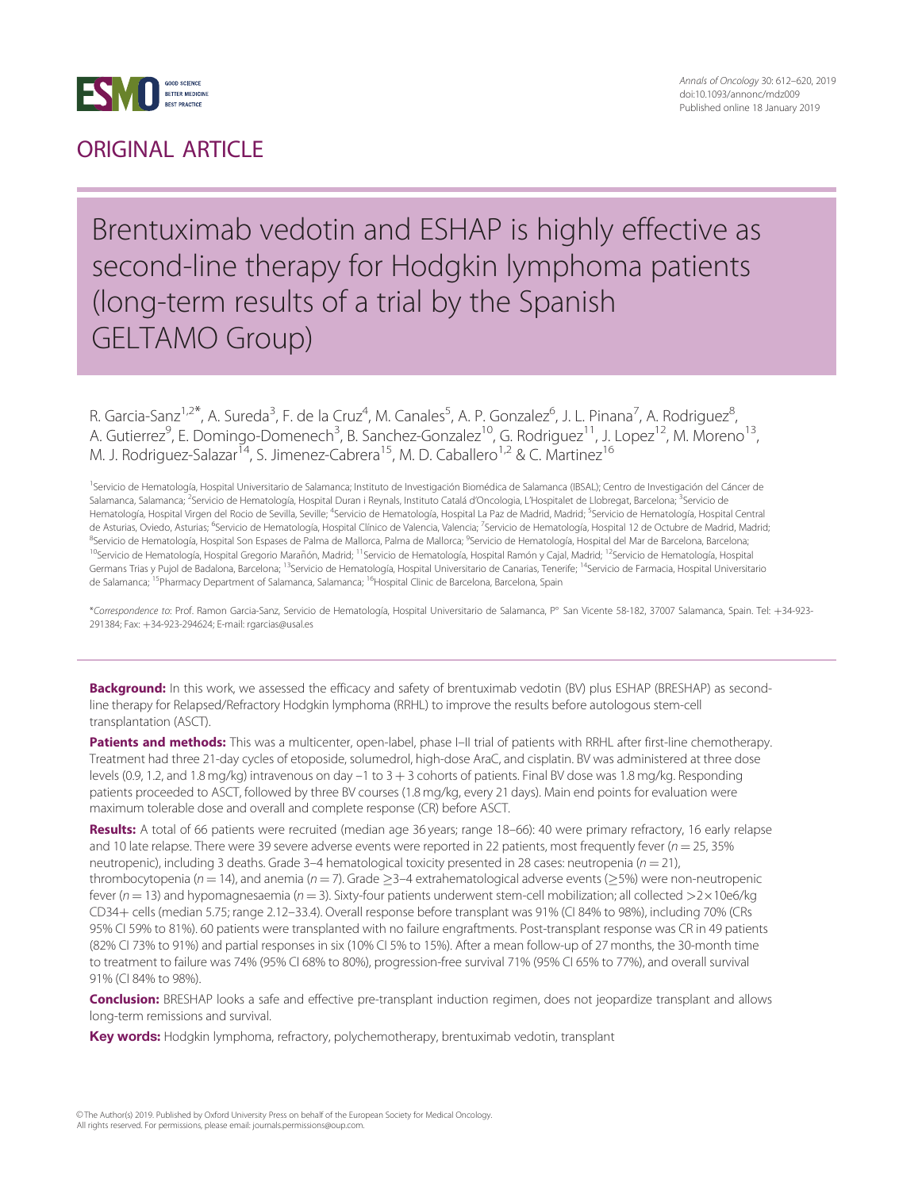

### ORIGINAL ARTICLE

### Brentuximab vedotin and ESHAP is highly effective as second-line therapy for Hodgkin lymphoma patients (long-term results of a trial by the Spanish GELTAMO Group)

R. Garcia-Sanz<sup>1,2\*</sup>, A. Sureda<sup>3</sup>, F. de la Cruz<sup>4</sup>, M. Canales<sup>5</sup>, A. P. Gonzalez<sup>6</sup>, J. L. Pinana<sup>7</sup>, A. Rodriguez<sup>8</sup> , A. Gutierrez<sup>9</sup>, E. Domingo-Domenech<sup>3</sup>, B. Sanchez-Gonzalez<sup>10</sup>, G. Rodriguez<sup>11</sup>, J. Lopez<sup>12</sup>, M. Moreno<sup>13</sup>, M. J. Rodriguez-Salazar<sup>14</sup>, S. Jimenez-Cabrera<sup>15</sup>, M. D. Caballero<sup>1,2</sup> & C. Martinez<sup>16</sup>

<sup>1</sup>Servicio de Hematología, Hospital Universitario de Salamanca; Instituto de Investigación Biomédica de Salamanca (IBSAL); Centro de Investigación del Cáncer de Salamanca, Salamanca; <sup>2</sup>Servicio de Hematología, Hospital Duran i Reynals, Instituto Catalá d'Oncologia, L'Hospitalet de Llobregat, Barcelona; <sup>3</sup>Servicio de Hematología, Hospital Virgen del Rocio de Sevilla, Seville; <sup>4</sup>Servicio de Hematología, Hospital La Paz de Madrid, Madrid; <sup>5</sup>Servicio de Hematología, Hospital Central de Asturias, Oviedo, Asturias; <sup>6</sup>Servicio de Hematología, Hospital Clínico de Valencia, Valencia; <sup>7</sup>Servicio de Hematología, Hospital 12 de Octubre de Madrid, Madrid; <sup>8</sup>Servicio de Hematología, Hospital Son Espases de Palma de Mallorca, Palma de Mallorca; <sup>9</sup>Servicio de Hematología, Hospital del Mar de Barcelona, Barcelona <sup>10</sup>Servicio de Hematología, Hospital Gregorio Marañón, Madrid; <sup>11</sup>Servicio de Hematología, Hospital Ramón y Cajal, Madrid; <sup>12</sup>Servicio de Hematología, Hospital Germans Trias y Pujol de Badalona, Barcelona; <sup>13</sup>Servicio de Hematología, Hospital Universitario de Canarias, Tenerife; <sup>14</sup>Servicio de Farmacia, Hospital Universitario de Salamanca; <sup>15</sup>Pharmacy Department of Salamanca, Salamanca; <sup>16</sup>Hospital Clinic de Barcelona, Barcelona, Spain

\*Correspondence to: Prof. Ramon Garcia-Sanz, Servicio de Hematología, Hospital Universitario de Salamanca, P° San Vicente 58-182, 37007 Salamanca, Spain. Tel: +34-923-291384; Fax: +34-923-294624; E-mail: rgarcias@usal.es

Background: In this work, we assessed the efficacy and safety of brentuximab vedotin (BV) plus ESHAP (BRESHAP) as secondline therapy for Relapsed/Refractory Hodgkin lymphoma (RRHL) to improve the results before autologous stem-cell transplantation (ASCT).

Patients and methods: This was a multicenter, open-label, phase I-II trial of patients with RRHL after first-line chemotherapy. Treatment had three 21-day cycles of etoposide, solumedrol, high-dose AraC, and cisplatin. BV was administered at three dose levels (0.9, 1.2, and 1.8 mg/kg) intravenous on day  $-1$  to  $3 + 3$  cohorts of patients. Final BV dose was 1.8 mg/kg. Responding patients proceeded to ASCT, followed by three BV courses (1.8 mg/kg, every 21 days). Main end points for evaluation were maximum tolerable dose and overall and complete response (CR) before ASCT.

Results: A total of 66 patients were recruited (median age 36 years; range 18–66): 40 were primary refractory, 16 early relapse and 10 late relapse. There were 39 severe adverse events were reported in 22 patients, most frequently fever ( $n = 25,35\%$ neutropenic), including 3 deaths. Grade 3-4 hematological toxicity presented in 28 cases: neutropenia ( $n = 21$ ), thrombocytopenia ( $n = 14$ ), and anemia ( $n = 7$ ). Grade  $\geq$ 3–4 extrahematological adverse events ( $\geq$ 5%) were non-neutropenic fever ( $n = 13$ ) and hypomagnesaemia ( $n = 3$ ). Sixty-four patients underwent stem-cell mobilization; all collected  $>2 \times 10e6/kg$ CD34+ cells (median 5.75; range 2.12-33.4). Overall response before transplant was 91% (CI 84% to 98%), including 70% (CRs 95% CI 59% to 81%). 60 patients were transplanted with no failure engraftments. Post-transplant response was CR in 49 patients (82% CI 73% to 91%) and partial responses in six (10% CI 5% to 15%). After a mean follow-up of 27 months, the 30-month time to treatment to failure was 74% (95% CI 68% to 80%), progression-free survival 71% (95% CI 65% to 77%), and overall survival 91% (CI 84% to 98%).

**Conclusion:** BRESHAP looks a safe and effective pre-transplant induction regimen, does not jeopardize transplant and allows long-term remissions and survival.

Key words: Hodgkin lymphoma, refractory, polychemotherapy, brentuximab vedotin, transplant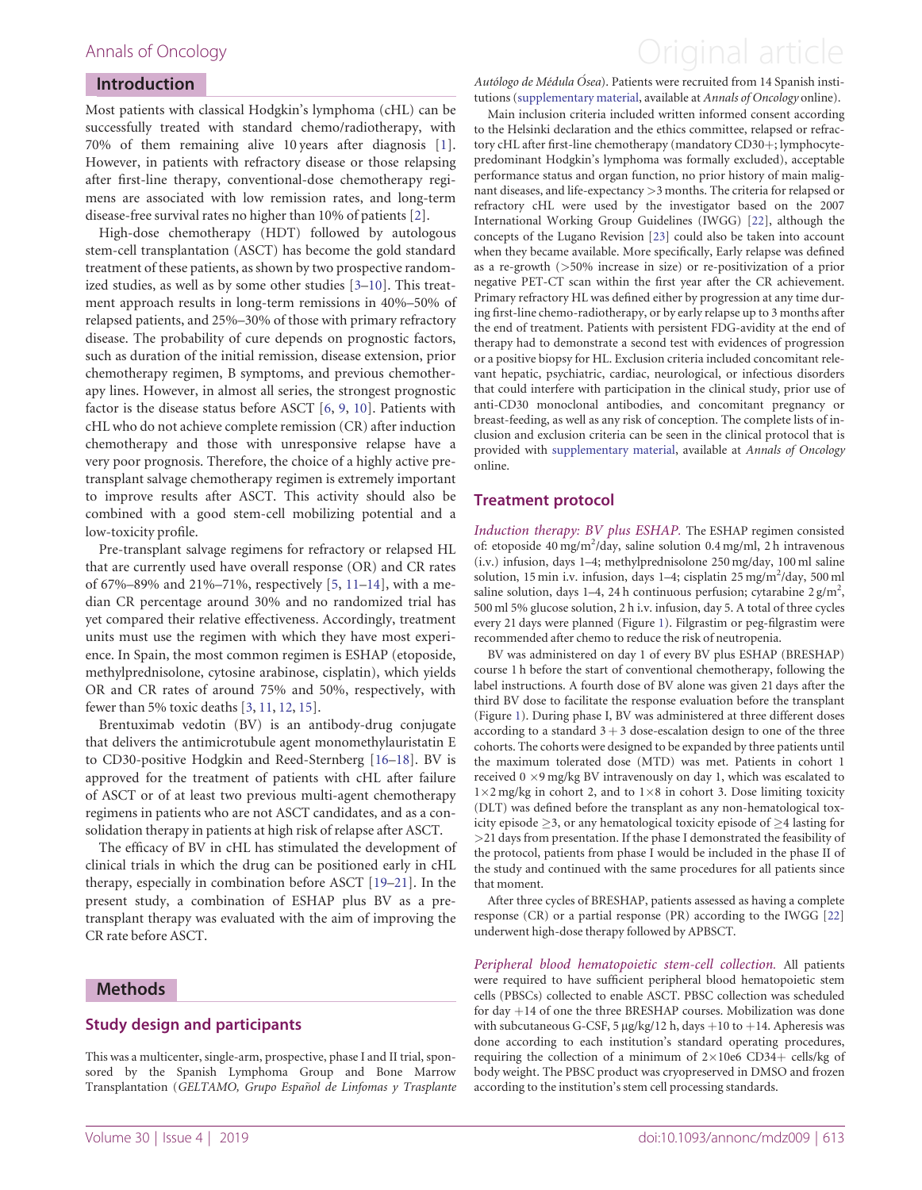#### Introduction

Most patients with classical Hodgkin's lymphoma (cHL) can be successfully treated with standard chemo/radiotherapy, with 70% of them remaining alive 10 years after diagnosis [[1](#page-7-0)]. However, in patients with refractory disease or those relapsing after first-line therapy, conventional-dose chemotherapy regimens are associated with low remission rates, and long-term disease-free survival rates no higher than 10% of patients [\[2\]](#page-7-0).

High-dose chemotherapy (HDT) followed by autologous stem-cell transplantation (ASCT) has become the gold standard treatment of these patients, as shown by two prospective randomized studies, as well as by some other studies [\[3–10\]](#page-7-0). This treatment approach results in long-term remissions in 40%–50% of relapsed patients, and 25%–30% of those with primary refractory disease. The probability of cure depends on prognostic factors, such as duration of the initial remission, disease extension, prior chemotherapy regimen, B symptoms, and previous chemotherapy lines. However, in almost all series, the strongest prognostic factor is the disease status before ASCT [\[6](#page-7-0), [9,](#page-7-0) [10\]](#page-7-0). Patients with cHL who do not achieve complete remission (CR) after induction chemotherapy and those with unresponsive relapse have a very poor prognosis. Therefore, the choice of a highly active pretransplant salvage chemotherapy regimen is extremely important to improve results after ASCT. This activity should also be combined with a good stem-cell mobilizing potential and a low-toxicity profile.

Pre-transplant salvage regimens for refractory or relapsed HL that are currently used have overall response (OR) and CR rates of 67%–89% and 21%–71%, respectively [\[5,](#page-7-0) [11–](#page-7-0)[14\]](#page-8-0), with a median CR percentage around 30% and no randomized trial has yet compared their relative effectiveness. Accordingly, treatment units must use the regimen with which they have most experience. In Spain, the most common regimen is ESHAP (etoposide, methylprednisolone, cytosine arabinose, cisplatin), which yields OR and CR rates of around 75% and 50%, respectively, with fewer than 5% toxic deaths [\[3,](#page-7-0) [11](#page-7-0), [12](#page-8-0), [15](#page-8-0)].

Brentuximab vedotin (BV) is an antibody-drug conjugate that delivers the antimicrotubule agent monomethylauristatin E to CD30-positive Hodgkin and Reed-Sternberg [\[16–18](#page-8-0)]. BV is approved for the treatment of patients with cHL after failure of ASCT or of at least two previous multi-agent chemotherapy regimens in patients who are not ASCT candidates, and as a consolidation therapy in patients at high risk of relapse after ASCT.

The efficacy of BV in cHL has stimulated the development of clinical trials in which the drug can be positioned early in cHL therapy, especially in combination before ASCT [\[19–21](#page-8-0)]. In the present study, a combination of ESHAP plus BV as a pretransplant therapy was evaluated with the aim of improving the CR rate before ASCT.

#### Methods

#### Study design and participants

This was a multicenter, single-arm, prospective, phase I and II trial, sponsored by the Spanish Lymphoma Group and Bone Marrow Transplantation (GELTAMO, Grupo Español de Linfomas y Trasplante

### <span id="page-1-0"></span>Annals of Oncology **Annals of Oncology Annal article**

Autólogo de Médula Ósea). Patients were recruited from 14 Spanish institutions [\(supplementary material,](https://academic.oup.com/annonc/article-lookup/doi/10.1093/annonc/mdz009#supplementary-data) available at Annals of Oncology online).

Main inclusion criteria included written informed consent according to the Helsinki declaration and the ethics committee, relapsed or refractory cHL after first-line chemotherapy (mandatory CD30+; lymphocytepredominant Hodgkin's lymphoma was formally excluded), acceptable performance status and organ function, no prior history of main malignant diseases, and life-expectancy >3 months. The criteria for relapsed or refractory cHL were used by the investigator based on the 2007 International Working Group Guidelines (IWGG) [[22\]](#page-8-0), although the concepts of the Lugano Revision [[23](#page-8-0)] could also be taken into account when they became available. More specifically, Early relapse was defined as a re-growth (>50% increase in size) or re-positivization of a prior negative PET-CT scan within the first year after the CR achievement. Primary refractory HL was defined either by progression at any time during first-line chemo-radiotherapy, or by early relapse up to 3 months after the end of treatment. Patients with persistent FDG-avidity at the end of therapy had to demonstrate a second test with evidences of progression or a positive biopsy for HL. Exclusion criteria included concomitant relevant hepatic, psychiatric, cardiac, neurological, or infectious disorders that could interfere with participation in the clinical study, prior use of anti-CD30 monoclonal antibodies, and concomitant pregnancy or breast-feeding, as well as any risk of conception. The complete lists of inclusion and exclusion criteria can be seen in the clinical protocol that is provided with [supplementary material,](https://academic.oup.com/annonc/article-lookup/doi/10.1093/annonc/mdz009#supplementary-data) available at Annals of Oncology online.

#### Treatment protocol

Induction therapy: BV plus ESHAP. The ESHAP regimen consisted of: etoposide 40 mg/m<sup>2</sup>/day, saline solution 0.4 mg/ml, 2 h intravenous (i.v.) infusion, days 1–4; methylprednisolone 250 mg/day, 100 ml saline solution, 15 min i.v. infusion, days 1-4; cisplatin 25 mg/m<sup>2</sup>/day, 500 ml saline solution, days 1–4, 24 h continuous perfusion; cytarabine  $2 \text{ g/m}^2$ , 500 ml 5% glucose solution, 2 h i.v. infusion, day 5. A total of three cycles every 21 days were planned (Figure [1](#page-2-0)). Filgrastim or peg-filgrastim were recommended after chemo to reduce the risk of neutropenia.

BV was administered on day 1 of every BV plus ESHAP (BRESHAP) course 1 h before the start of conventional chemotherapy, following the label instructions. A fourth dose of BV alone was given 21 days after the third BV dose to facilitate the response evaluation before the transplant (Figure [1](#page-2-0)). During phase I, BV was administered at three different doses according to a standard  $3 + 3$  dose-escalation design to one of the three cohorts. The cohorts were designed to be expanded by three patients until the maximum tolerated dose (MTD) was met. Patients in cohort 1 received  $0 \times 9$  mg/kg BV intravenously on day 1, which was escalated to  $1 \times 2$  mg/kg in cohort 2, and to  $1 \times 8$  in cohort 3. Dose limiting toxicity (DLT) was defined before the transplant as any non-hematological toxicity episode  $\geq$ 3, or any hematological toxicity episode of  $\geq$ 4 lasting for >21 days from presentation. If the phase I demonstrated the feasibility of the protocol, patients from phase I would be included in the phase II of the study and continued with the same procedures for all patients since that moment.

After three cycles of BRESHAP, patients assessed as having a complete response (CR) or a partial response (PR) according to the IWGG [[22](#page-8-0)] underwent high-dose therapy followed by APBSCT.

Peripheral blood hematopoietic stem-cell collection. All patients were required to have sufficient peripheral blood hematopoietic stem cells (PBSCs) collected to enable ASCT. PBSC collection was scheduled for day  $+14$  of one the three BRESHAP courses. Mobilization was done with subcutaneous G-CSF, 5 µg/kg/12 h, days  $+10$  to  $+14$ . Apheresis was done according to each institution's standard operating procedures, requiring the collection of a minimum of  $2\times10e6$  CD34+ cells/kg of body weight. The PBSC product was cryopreserved in DMSO and frozen according to the institution's stem cell processing standards.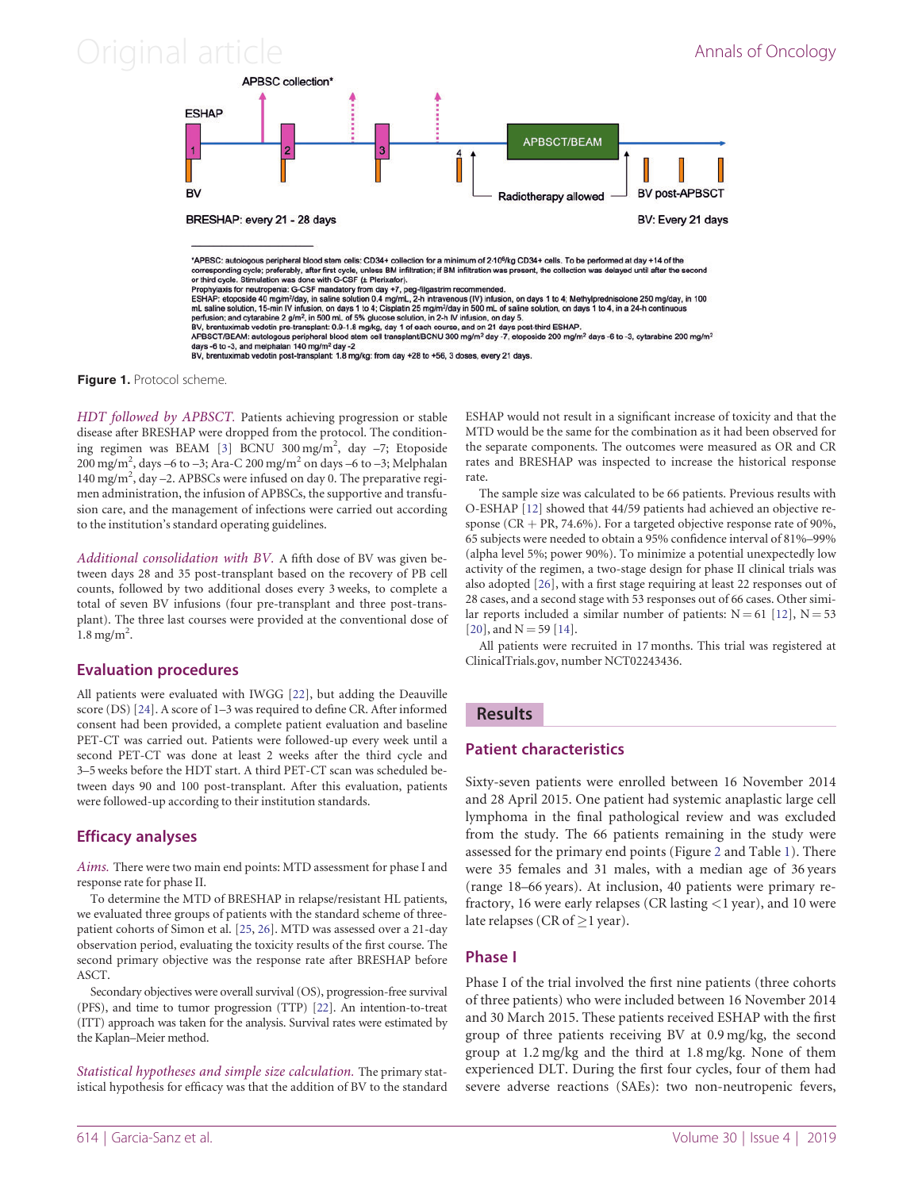<span id="page-2-0"></span>

Figure 1. Protocol scheme.

HDT followed by APBSCT. Patients achieving progression or stable disease after BRESHAP were dropped from the protocol. The condition-ing regimen was BEAM [\[3](#page-7-0)] BCNU 300 mg/m<sup>2</sup>, day -7; Etoposide 200 mg/m<sup>2</sup>, days –6 to –3; Ara-C 200 mg/m<sup>2</sup> on days –6 to –3; Melphalan 140 mg/m<sup>2</sup>, day -2. APBSCs were infused on day 0. The preparative regimen administration, the infusion of APBSCs, the supportive and transfusion care, and the management of infections were carried out according to the institution's standard operating guidelines.

Additional consolidation with BV. A fifth dose of BV was given between days 28 and 35 post-transplant based on the recovery of PB cell counts, followed by two additional doses every 3 weeks, to complete a total of seven BV infusions (four pre-transplant and three post-transplant). The three last courses were provided at the conventional dose of  $1.8$  mg/m<sup>2</sup>.

### Evaluation procedures

All patients were evaluated with IWGG [[22\]](#page-8-0), but adding the Deauville score (DS) [[24\]](#page-8-0). A score of 1–3 was required to define CR. After informed consent had been provided, a complete patient evaluation and baseline PET-CT was carried out. Patients were followed-up every week until a second PET-CT was done at least 2 weeks after the third cycle and 3–5 weeks before the HDT start. A third PET-CT scan was scheduled between days 90 and 100 post-transplant. After this evaluation, patients were followed-up according to their institution standards.

### Efficacy analyses

Aims. There were two main end points: MTD assessment for phase I and response rate for phase II.

To determine the MTD of BRESHAP in relapse/resistant HL patients, we evaluated three groups of patients with the standard scheme of threepatient cohorts of Simon et al. [\[25](#page-8-0), [26](#page-8-0)]. MTD was assessed over a 21-day observation period, evaluating the toxicity results of the first course. The second primary objective was the response rate after BRESHAP before ASCT.

Secondary objectives were overall survival (OS), progression-free survival (PFS), and time to tumor progression (TTP) [[22](#page-8-0)]. An intention-to-treat (ITT) approach was taken for the analysis. Survival rates were estimated by the Kaplan–Meier method.

Statistical hypotheses and simple size calculation. The primary statistical hypothesis for efficacy was that the addition of BV to the standard ESHAP would not result in a significant increase of toxicity and that the MTD would be the same for the combination as it had been observed for the separate components. The outcomes were measured as OR and CR rates and BRESHAP was inspected to increase the historical response rate.

The sample size was calculated to be 66 patients. Previous results with O-ESHAP [[12\]](#page-8-0) showed that 44/59 patients had achieved an objective response ( $CR + PR$ , 74.6%). For a targeted objective response rate of 90%, 65 subjects were needed to obtain a 95% confidence interval of 81%–99% (alpha level 5%; power 90%). To minimize a potential unexpectedly low activity of the regimen, a two-stage design for phase II clinical trials was also adopted [[26\]](#page-8-0), with a first stage requiring at least 22 responses out of 28 cases, and a second stage with 53 responses out of 66 cases. Other similar reports included a similar number of patients:  $N = 61$  [[12\]](#page-8-0),  $N = 53$  $[20]$ , and N = 59  $[14]$  $[14]$ .

All patients were recruited in 17 months. This trial was registered at ClinicalTrials.gov, number NCT02243436.

### **Results**

### Patient characteristics

Sixty-seven patients were enrolled between 16 November 2014 and 28 April 2015. One patient had systemic anaplastic large cell lymphoma in the final pathological review and was excluded from the study. The 66 patients remaining in the study were assessed for the primary end points (Figure [2](#page-3-0) and Table [1](#page-4-0)). There were 35 females and 31 males, with a median age of 36 years (range 18–66 years). At inclusion, 40 patients were primary refractory, 16 were early relapses (CR lasting  $\lt$ 1 year), and 10 were late relapses (CR of  $>$ 1 year).

### Phase I

Phase I of the trial involved the first nine patients (three cohorts of three patients) who were included between 16 November 2014 and 30 March 2015. These patients received ESHAP with the first group of three patients receiving BV at 0.9 mg/kg, the second group at 1.2 mg/kg and the third at 1.8 mg/kg. None of them experienced DLT. During the first four cycles, four of them had severe adverse reactions (SAEs): two non-neutropenic fevers,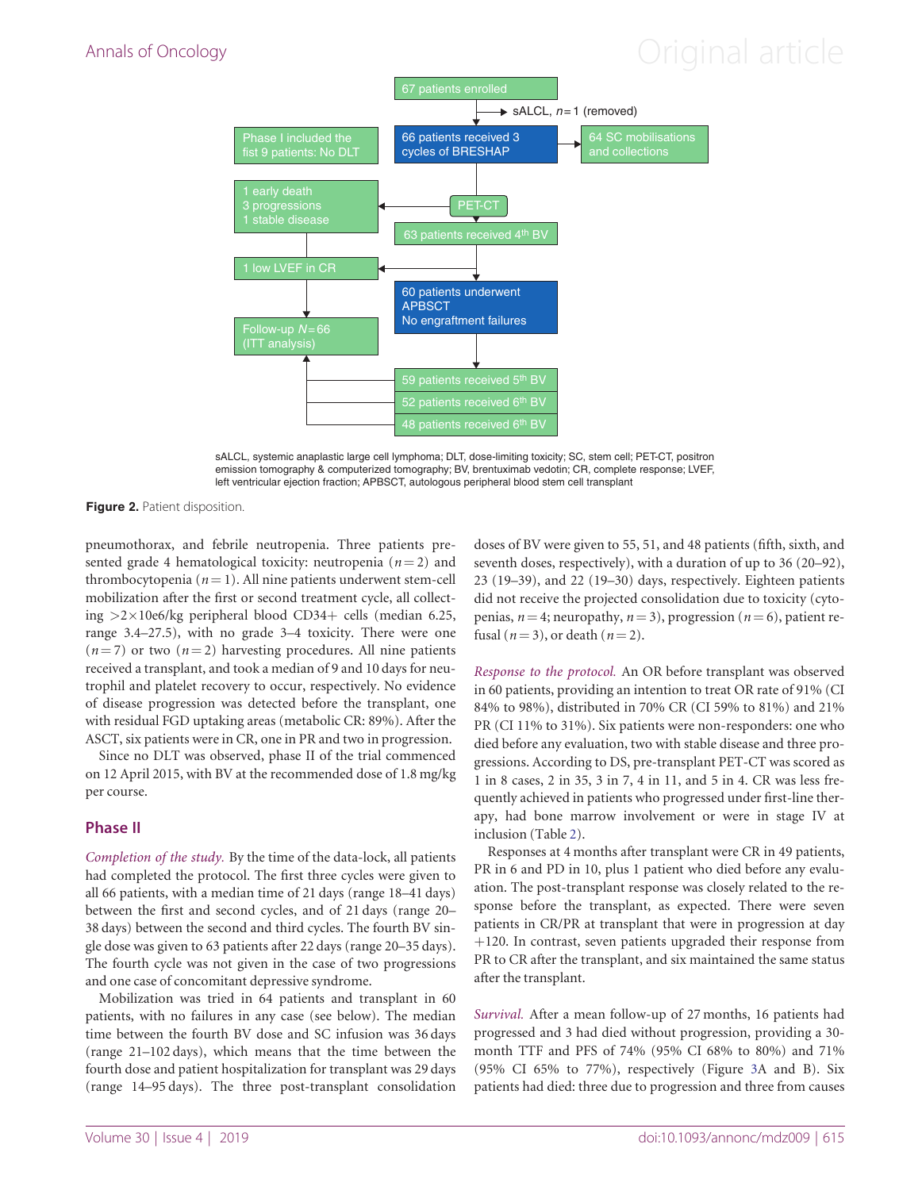# <span id="page-3-0"></span>Annals of Oncology **Annals of Oncology Annal article**



sALCL, systemic anaplastic large cell lymphoma; DLT, dose-limiting toxicity; SC, stem cell; PET-CT, positron emission tomography & computerized tomography; BV, brentuximab vedotin; CR, complete response; LVEF, left ventricular ejection fraction; APBSCT, autologous peripheral blood stem cell transplant

Figure 2. Patient disposition.

pneumothorax, and febrile neutropenia. Three patients presented grade 4 hematological toxicity: neutropenia  $(n = 2)$  and thrombocytopenia ( $n = 1$ ). All nine patients underwent stem-cell mobilization after the first or second treatment cycle, all collecting  $>2\times10e6/kg$  peripheral blood CD34+ cells (median 6.25, range 3.4–27.5), with no grade 3–4 toxicity. There were one  $(n = 7)$  or two  $(n = 2)$  harvesting procedures. All nine patients received a transplant, and took a median of 9 and 10 days for neutrophil and platelet recovery to occur, respectively. No evidence of disease progression was detected before the transplant, one with residual FGD uptaking areas (metabolic CR: 89%). After the ASCT, six patients were in CR, one in PR and two in progression.

Since no DLT was observed, phase II of the trial commenced on 12 April 2015, with BV at the recommended dose of 1.8 mg/kg per course.

### Phase II

Completion of the study. By the time of the data-lock, all patients had completed the protocol. The first three cycles were given to all 66 patients, with a median time of 21 days (range 18–41 days) between the first and second cycles, and of 21 days (range 20– 38 days) between the second and third cycles. The fourth BV single dose was given to 63 patients after 22 days (range 20–35 days). The fourth cycle was not given in the case of two progressions and one case of concomitant depressive syndrome.

Mobilization was tried in 64 patients and transplant in 60 patients, with no failures in any case (see below). The median time between the fourth BV dose and SC infusion was 36 days (range 21–102 days), which means that the time between the fourth dose and patient hospitalization for transplant was 29 days (range 14–95 days). The three post-transplant consolidation

doses of BV were given to 55, 51, and 48 patients (fifth, sixth, and seventh doses, respectively), with a duration of up to 36 (20–92), 23 (19–39), and 22 (19–30) days, respectively. Eighteen patients did not receive the projected consolidation due to toxicity (cytopenias,  $n = 4$ ; neuropathy,  $n = 3$ ), progression ( $n = 6$ ), patient refusal ( $n = 3$ ), or death ( $n = 2$ ).

Response to the protocol. An OR before transplant was observed in 60 patients, providing an intention to treat OR rate of 91% (CI 84% to 98%), distributed in 70% CR (CI 59% to 81%) and 21% PR (CI 11% to 31%). Six patients were non-responders: one who died before any evaluation, two with stable disease and three progressions. According to DS, pre-transplant PET-CT was scored as 1 in 8 cases, 2 in 35, 3 in 7, 4 in 11, and 5 in 4. CR was less frequently achieved in patients who progressed under first-line therapy, had bone marrow involvement or were in stage IV at inclusion (Table [2](#page-4-0)).

Responses at 4 months after transplant were CR in 49 patients, PR in 6 and PD in 10, plus 1 patient who died before any evaluation. The post-transplant response was closely related to the response before the transplant, as expected. There were seven patients in CR/PR at transplant that were in progression at day  $+120$ . In contrast, seven patients upgraded their response from PR to CR after the transplant, and six maintained the same status after the transplant.

Survival. After a mean follow-up of 27 months, 16 patients had progressed and 3 had died without progression, providing a 30 month TTF and PFS of 74% (95% CI 68% to 80%) and 71% (95% CI 65% to 77%), respectively (Figure [3](#page-5-0)A and B). Six patients had died: three due to progression and three from causes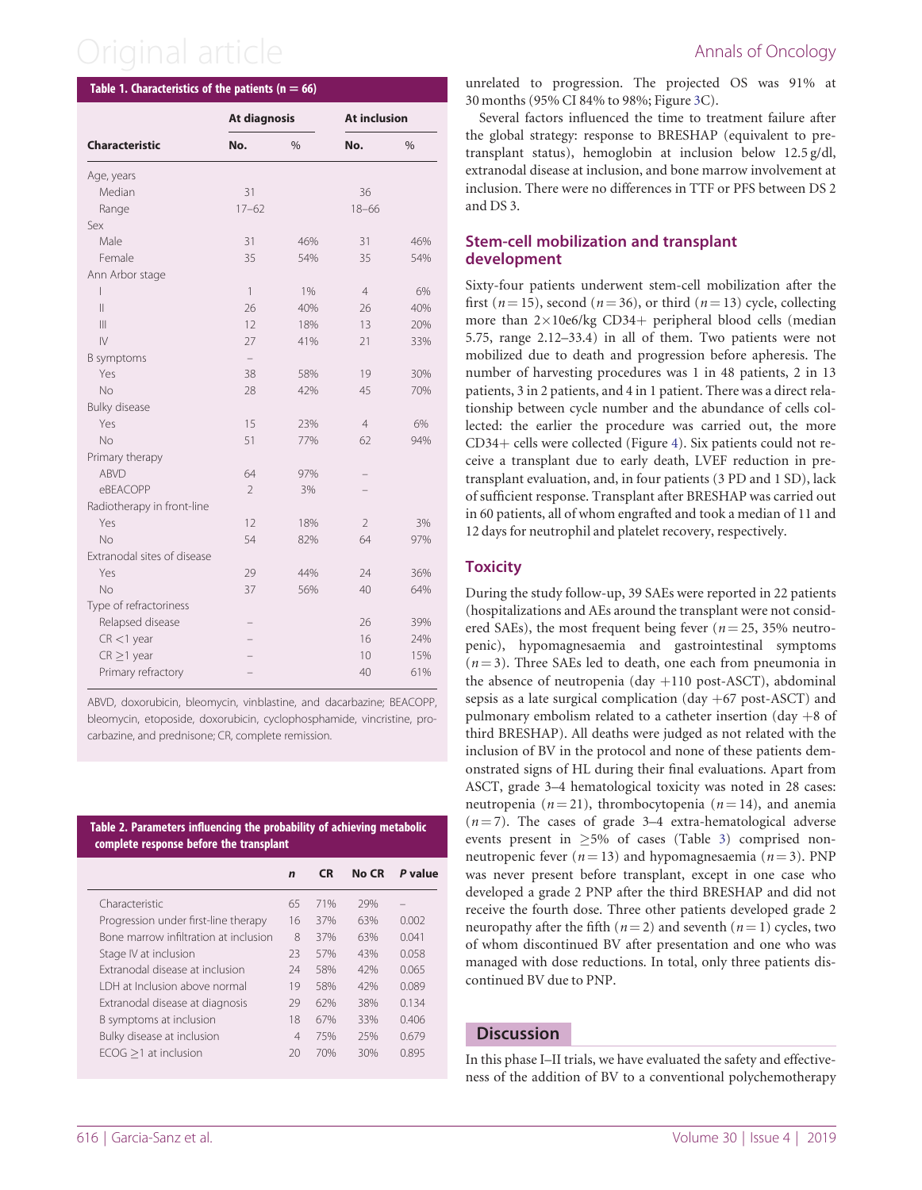#### <span id="page-4-0"></span>Table 1. Characteristics of the patients ( $n = 66$ )

| No.<br>$\frac{0}{0}$<br>No.<br>$\frac{0}{0}$<br>Median<br>31<br>36<br>$17 - 62$<br>$18 - 66$<br>Range<br>Male<br>31<br>46%<br>31<br>46%<br>Female<br>35<br>54%<br>35<br>54%<br>$\mathbf{1}$<br>$1\%$<br>$\overline{4}$<br>6%<br>$\overline{\phantom{a}}$<br>$\mathsf{II}$<br>26<br>40%<br>40%<br>26<br>$\mathbf{  }$<br>18%<br>20%<br>12<br>13<br>$\mathsf{IV}$<br>33%<br>27<br>41%<br>21<br>Yes<br>38<br>58%<br>19<br>30%<br>No<br>28<br>42%<br>45<br>70%<br>Yes<br>15<br>23%<br>$\overline{4}$<br>6%<br>No<br>77%<br>51<br>62<br>94%<br><b>ABVD</b><br>64<br>97%<br>eBEACOPP<br>$\overline{\phantom{a}}$<br>3%<br>Yes<br>12<br>18%<br>$\overline{2}$<br>3%<br>No<br>54<br>82%<br>64<br>97%<br>Yes<br>29<br>44%<br>24<br>36%<br><b>No</b><br>56%<br>37<br>40<br>64%<br>Relapsed disease<br>26<br>39%<br>16<br>24%<br>$CR < 1$ year<br>$CR \geq 1$ year<br>15%<br>10<br>Primary refractory<br>61%<br>40 |                             | At diagnosis |  | <b>At inclusion</b> |  |  |
|---------------------------------------------------------------------------------------------------------------------------------------------------------------------------------------------------------------------------------------------------------------------------------------------------------------------------------------------------------------------------------------------------------------------------------------------------------------------------------------------------------------------------------------------------------------------------------------------------------------------------------------------------------------------------------------------------------------------------------------------------------------------------------------------------------------------------------------------------------------------------------------------------------|-----------------------------|--------------|--|---------------------|--|--|
|                                                                                                                                                                                                                                                                                                                                                                                                                                                                                                                                                                                                                                                                                                                                                                                                                                                                                                         | <b>Characteristic</b>       |              |  |                     |  |  |
|                                                                                                                                                                                                                                                                                                                                                                                                                                                                                                                                                                                                                                                                                                                                                                                                                                                                                                         | Age, years                  |              |  |                     |  |  |
|                                                                                                                                                                                                                                                                                                                                                                                                                                                                                                                                                                                                                                                                                                                                                                                                                                                                                                         |                             |              |  |                     |  |  |
|                                                                                                                                                                                                                                                                                                                                                                                                                                                                                                                                                                                                                                                                                                                                                                                                                                                                                                         |                             |              |  |                     |  |  |
|                                                                                                                                                                                                                                                                                                                                                                                                                                                                                                                                                                                                                                                                                                                                                                                                                                                                                                         | Sex                         |              |  |                     |  |  |
|                                                                                                                                                                                                                                                                                                                                                                                                                                                                                                                                                                                                                                                                                                                                                                                                                                                                                                         |                             |              |  |                     |  |  |
|                                                                                                                                                                                                                                                                                                                                                                                                                                                                                                                                                                                                                                                                                                                                                                                                                                                                                                         |                             |              |  |                     |  |  |
|                                                                                                                                                                                                                                                                                                                                                                                                                                                                                                                                                                                                                                                                                                                                                                                                                                                                                                         | Ann Arbor stage             |              |  |                     |  |  |
|                                                                                                                                                                                                                                                                                                                                                                                                                                                                                                                                                                                                                                                                                                                                                                                                                                                                                                         |                             |              |  |                     |  |  |
|                                                                                                                                                                                                                                                                                                                                                                                                                                                                                                                                                                                                                                                                                                                                                                                                                                                                                                         |                             |              |  |                     |  |  |
|                                                                                                                                                                                                                                                                                                                                                                                                                                                                                                                                                                                                                                                                                                                                                                                                                                                                                                         |                             |              |  |                     |  |  |
|                                                                                                                                                                                                                                                                                                                                                                                                                                                                                                                                                                                                                                                                                                                                                                                                                                                                                                         |                             |              |  |                     |  |  |
|                                                                                                                                                                                                                                                                                                                                                                                                                                                                                                                                                                                                                                                                                                                                                                                                                                                                                                         | <b>B</b> symptoms           |              |  |                     |  |  |
|                                                                                                                                                                                                                                                                                                                                                                                                                                                                                                                                                                                                                                                                                                                                                                                                                                                                                                         |                             |              |  |                     |  |  |
|                                                                                                                                                                                                                                                                                                                                                                                                                                                                                                                                                                                                                                                                                                                                                                                                                                                                                                         |                             |              |  |                     |  |  |
|                                                                                                                                                                                                                                                                                                                                                                                                                                                                                                                                                                                                                                                                                                                                                                                                                                                                                                         | <b>Bulky disease</b>        |              |  |                     |  |  |
|                                                                                                                                                                                                                                                                                                                                                                                                                                                                                                                                                                                                                                                                                                                                                                                                                                                                                                         |                             |              |  |                     |  |  |
|                                                                                                                                                                                                                                                                                                                                                                                                                                                                                                                                                                                                                                                                                                                                                                                                                                                                                                         |                             |              |  |                     |  |  |
|                                                                                                                                                                                                                                                                                                                                                                                                                                                                                                                                                                                                                                                                                                                                                                                                                                                                                                         | Primary therapy             |              |  |                     |  |  |
|                                                                                                                                                                                                                                                                                                                                                                                                                                                                                                                                                                                                                                                                                                                                                                                                                                                                                                         |                             |              |  |                     |  |  |
|                                                                                                                                                                                                                                                                                                                                                                                                                                                                                                                                                                                                                                                                                                                                                                                                                                                                                                         |                             |              |  |                     |  |  |
|                                                                                                                                                                                                                                                                                                                                                                                                                                                                                                                                                                                                                                                                                                                                                                                                                                                                                                         | Radiotherapy in front-line  |              |  |                     |  |  |
|                                                                                                                                                                                                                                                                                                                                                                                                                                                                                                                                                                                                                                                                                                                                                                                                                                                                                                         |                             |              |  |                     |  |  |
|                                                                                                                                                                                                                                                                                                                                                                                                                                                                                                                                                                                                                                                                                                                                                                                                                                                                                                         |                             |              |  |                     |  |  |
|                                                                                                                                                                                                                                                                                                                                                                                                                                                                                                                                                                                                                                                                                                                                                                                                                                                                                                         | Extranodal sites of disease |              |  |                     |  |  |
|                                                                                                                                                                                                                                                                                                                                                                                                                                                                                                                                                                                                                                                                                                                                                                                                                                                                                                         |                             |              |  |                     |  |  |
|                                                                                                                                                                                                                                                                                                                                                                                                                                                                                                                                                                                                                                                                                                                                                                                                                                                                                                         |                             |              |  |                     |  |  |
|                                                                                                                                                                                                                                                                                                                                                                                                                                                                                                                                                                                                                                                                                                                                                                                                                                                                                                         | Type of refractoriness      |              |  |                     |  |  |
|                                                                                                                                                                                                                                                                                                                                                                                                                                                                                                                                                                                                                                                                                                                                                                                                                                                                                                         |                             |              |  |                     |  |  |
|                                                                                                                                                                                                                                                                                                                                                                                                                                                                                                                                                                                                                                                                                                                                                                                                                                                                                                         |                             |              |  |                     |  |  |
|                                                                                                                                                                                                                                                                                                                                                                                                                                                                                                                                                                                                                                                                                                                                                                                                                                                                                                         |                             |              |  |                     |  |  |
|                                                                                                                                                                                                                                                                                                                                                                                                                                                                                                                                                                                                                                                                                                                                                                                                                                                                                                         |                             |              |  |                     |  |  |

ABVD, doxorubicin, bleomycin, vinblastine, and dacarbazine; BEACOPP, bleomycin, etoposide, doxorubicin, cyclophosphamide, vincristine, procarbazine, and prednisone; CR, complete remission.

Table 2. Parameters influencing the probability of achieving metabolic complete response before the transplant

|                                       | $\mathbf n$    | <b>CR</b> | No CR | P value |
|---------------------------------------|----------------|-----------|-------|---------|
| Characteristic                        | 65             | 71%       | 29%   |         |
| Progression under first-line therapy  | 16             | 37%       | 63%   | 0.002   |
| Bone marrow infiltration at inclusion | 8              | 37%       | 63%   | 0.041   |
| Stage IV at inclusion                 | 23             | 57%       | 43%   | 0.058   |
| Extranodal disease at inclusion       | 24             | 58%       | 42%   | 0065    |
| LDH at Inclusion above normal         | 19             | 58%       | 42%   | 0.089   |
| Extranodal disease at diagnosis       | 29             | 62%       | 38%   | 0.134   |
| B symptoms at inclusion               | 18             | 67%       | 33%   | 0.406   |
| Bulky disease at inclusion            | $\overline{4}$ | 75%       | 25%   | 0.679   |
| $ECOG > 1$ at inclusion               | 20             | 70%       | 30%   | 0.895   |

unrelated to progression. The projected OS was 91% at 30 months (95% CI 84% to 98%; Figure [3C](#page-5-0)).

Several factors influenced the time to treatment failure after the global strategy: response to BRESHAP (equivalent to pretransplant status), hemoglobin at inclusion below 12.5 g/dl, extranodal disease at inclusion, and bone marrow involvement at inclusion. There were no differences in TTF or PFS between DS 2 and DS 3.

#### Stem-cell mobilization and transplant development

Sixty-four patients underwent stem-cell mobilization after the first ( $n = 15$ ), second ( $n = 36$ ), or third ( $n = 13$ ) cycle, collecting more than  $2\times10e6/kg$  CD34+ peripheral blood cells (median 5.75, range 2.12–33.4) in all of them. Two patients were not mobilized due to death and progression before apheresis. The number of harvesting procedures was 1 in 48 patients, 2 in 13 patients, 3 in 2 patients, and 4 in 1 patient. There was a direct relationship between cycle number and the abundance of cells collected: the earlier the procedure was carried out, the more  $CD34+$  cells were collected (Figure [4\)](#page-6-0). Six patients could not receive a transplant due to early death, LVEF reduction in pretransplant evaluation, and, in four patients (3 PD and 1 SD), lack of sufficient response. Transplant after BRESHAP was carried out in 60 patients, all of whom engrafted and took a median of 11 and 12 days for neutrophil and platelet recovery, respectively.

### **Toxicity**

During the study follow-up, 39 SAEs were reported in 22 patients (hospitalizations and AEs around the transplant were not considered SAEs), the most frequent being fever ( $n = 25$ , 35% neutropenic), hypomagnesaemia and gastrointestinal symptoms  $(n = 3)$ . Three SAEs led to death, one each from pneumonia in the absence of neutropenia (day  $+110$  post-ASCT), abdominal sepsis as a late surgical complication (day  $+67$  post-ASCT) and pulmonary embolism related to a catheter insertion (day  $+8$  of third BRESHAP). All deaths were judged as not related with the inclusion of BV in the protocol and none of these patients demonstrated signs of HL during their final evaluations. Apart from ASCT, grade 3–4 hematological toxicity was noted in 28 cases: neutropenia ( $n = 21$ ), thrombocytopenia ( $n = 14$ ), and anemia  $(n = 7)$ . The cases of grade 3–4 extra-hematological adverse events present in  $\geq$ 5% of cases (Table [3](#page-6-0)) comprised nonneutropenic fever ( $n = 13$ ) and hypomagnesaemia ( $n = 3$ ). PNP was never present before transplant, except in one case who developed a grade 2 PNP after the third BRESHAP and did not receive the fourth dose. Three other patients developed grade 2 neuropathy after the fifth ( $n = 2$ ) and seventh ( $n = 1$ ) cycles, two of whom discontinued BV after presentation and one who was managed with dose reductions. In total, only three patients discontinued BV due to PNP.

#### **Discussion**

In this phase I–II trials, we have evaluated the safety and effectiveness of the addition of BV to a conventional polychemotherapy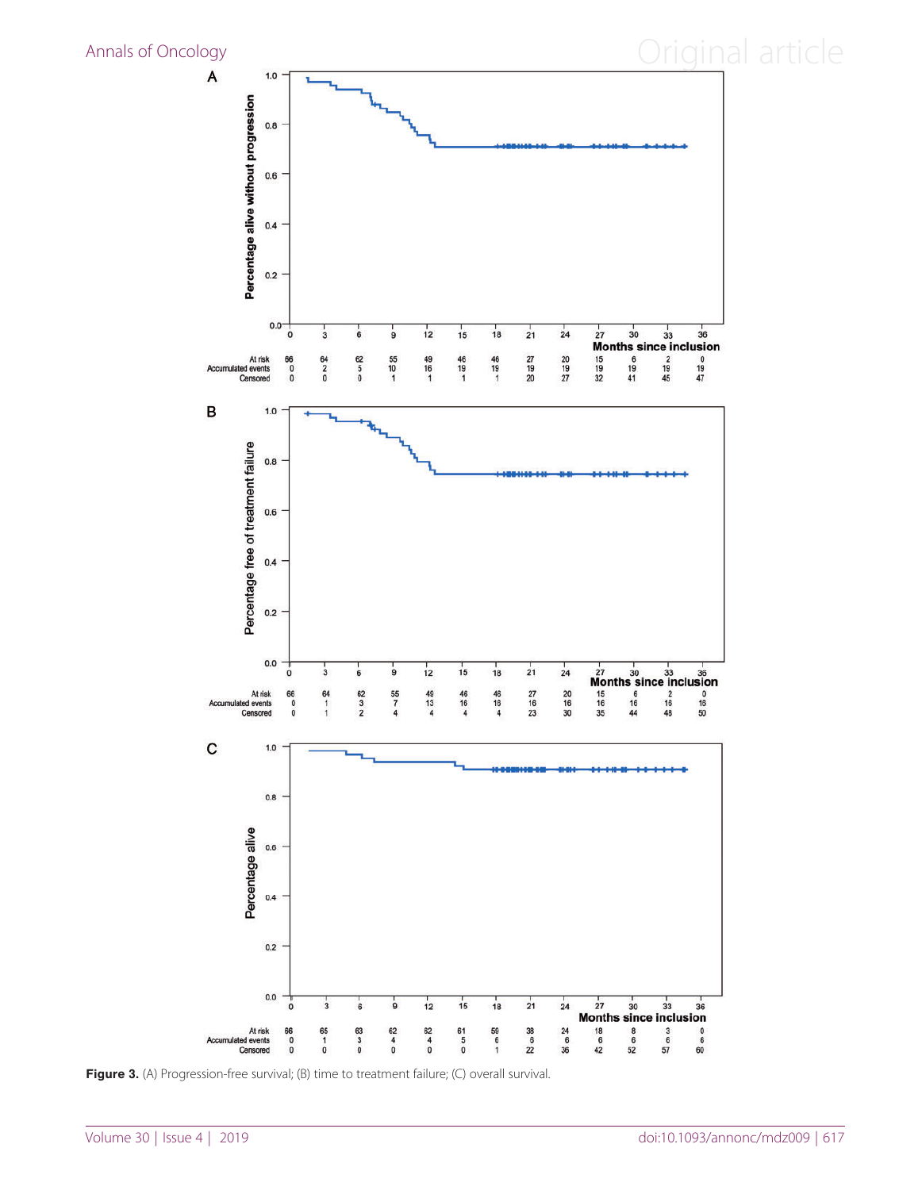<span id="page-5-0"></span>

Figure 3. (A) Progression-free survival; (B) time to treatment failure; (C) overall survival.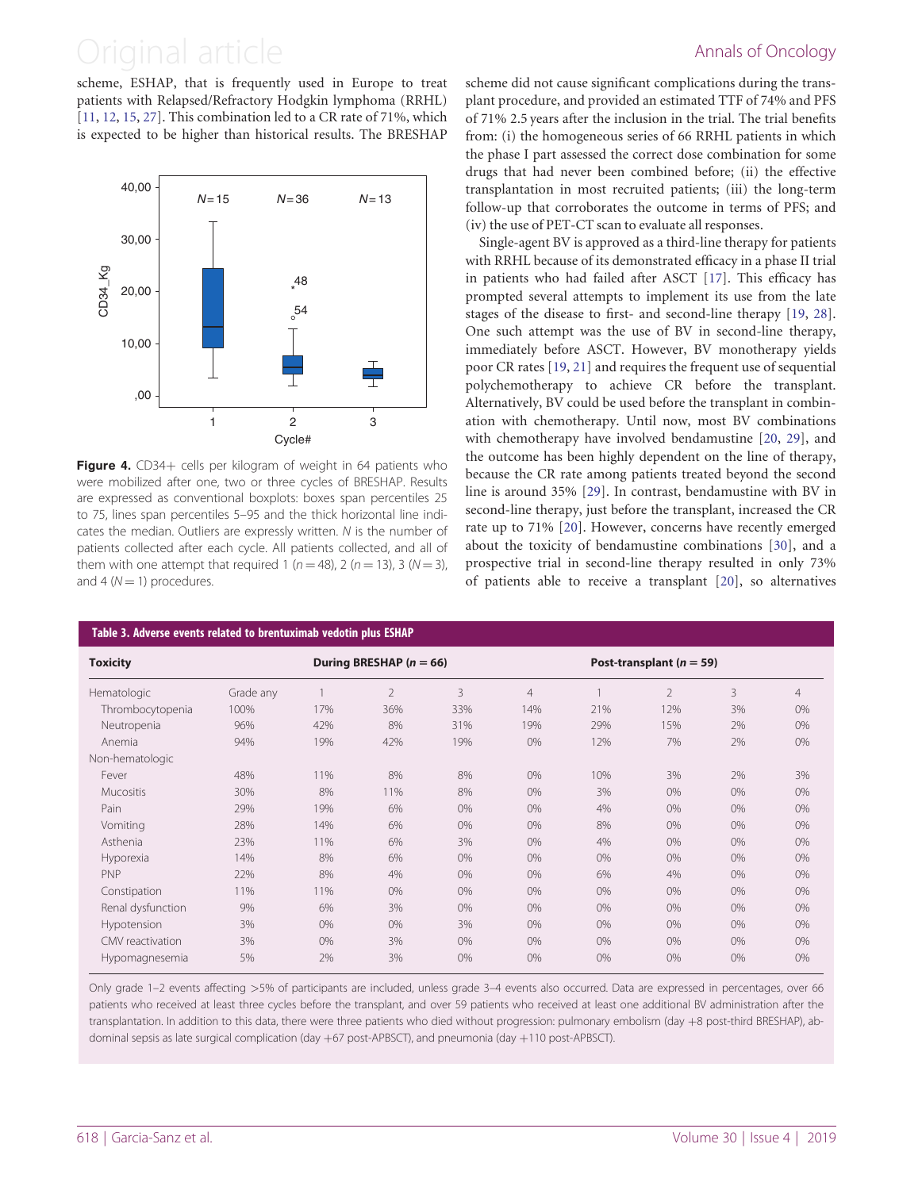<span id="page-6-0"></span>scheme, ESHAP, that is frequently used in Europe to treat patients with Relapsed/Refractory Hodgkin lymphoma (RRHL) [[11,](#page-7-0) [12](#page-8-0), [15,](#page-8-0) [27](#page-8-0)]. This combination led to a CR rate of 71%, which is expected to be higher than historical results. The BRESHAP



Figure 4. CD34+ cells per kilogram of weight in 64 patients who were mobilized after one, two or three cycles of BRESHAP. Results are expressed as conventional boxplots: boxes span percentiles 25 to 75, lines span percentiles 5–95 and the thick horizontal line indicates the median. Outliers are expressly written. N is the number of patients collected after each cycle. All patients collected, and all of them with one attempt that required 1 ( $n = 48$ ), 2 ( $n = 13$ ), 3 ( $N = 3$ ), and 4 ( $N = 1$ ) procedures.

#### Table 3. Adverse events related to brentuximab vedotin plus ESHAP

scheme did not cause significant complications during the transplant procedure, and provided an estimated TTF of 74% and PFS of 71% 2.5 years after the inclusion in the trial. The trial benefits from: (i) the homogeneous series of 66 RRHL patients in which the phase I part assessed the correct dose combination for some drugs that had never been combined before; (ii) the effective transplantation in most recruited patients; (iii) the long-term follow-up that corroborates the outcome in terms of PFS; and (iv) the use of PET-CT scan to evaluate all responses.

Single-agent BV is approved as a third-line therapy for patients with RRHL because of its demonstrated efficacy in a phase II trial in patients who had failed after ASCT [[17\]](#page-8-0). This efficacy has prompted several attempts to implement its use from the late stages of the disease to first- and second-line therapy [[19,](#page-8-0) [28\]](#page-8-0). One such attempt was the use of BV in second-line therapy, immediately before ASCT. However, BV monotherapy yields poor CR rates [\[19](#page-8-0), [21\]](#page-8-0) and requires the frequent use of sequential polychemotherapy to achieve CR before the transplant. Alternatively, BV could be used before the transplant in combination with chemotherapy. Until now, most BV combinations with chemotherapy have involved bendamustine [[20,](#page-8-0) [29\]](#page-8-0), and the outcome has been highly dependent on the line of therapy, because the CR rate among patients treated beyond the second line is around 35% [\[29](#page-8-0)]. In contrast, bendamustine with BV in second-line therapy, just before the transplant, increased the CR rate up to 71% [[20\]](#page-8-0). However, concerns have recently emerged about the toxicity of bendamustine combinations [\[30](#page-8-0)], and a prospective trial in second-line therapy resulted in only 73% of patients able to receive a transplant [[20\]](#page-8-0), so alternatives

| <b>Toxicity</b>   |           | During BRESHAP ( $n = 66$ ) |                |       |                | Post-transplant ( $n = 59$ ) |                |       |       |
|-------------------|-----------|-----------------------------|----------------|-------|----------------|------------------------------|----------------|-------|-------|
| Hematologic       | Grade any |                             | $\overline{2}$ | 3     | $\overline{4}$ |                              | $\overline{2}$ | 3     | 4     |
| Thrombocytopenia  | 100%      | 17%                         | 36%            | 33%   | 14%            | 21%                          | 12%            | 3%    | 0%    |
| Neutropenia       | 96%       | 42%                         | 8%             | 31%   | 19%            | 29%                          | 15%            | 2%    | 0%    |
| Anemia            | 94%       | 19%                         | 42%            | 19%   | 0%             | 12%                          | 7%             | 2%    | $0\%$ |
| Non-hematologic   |           |                             |                |       |                |                              |                |       |       |
| Fever             | 48%       | 11%                         | 8%             | 8%    | 0%             | 10%                          | 3%             | 2%    | 3%    |
| <b>Mucositis</b>  | 30%       | 8%                          | 11%            | 8%    | 0%             | 3%                           | 0%             | $0\%$ | 0%    |
| Pain              | 29%       | 19%                         | 6%             | 0%    | 0%             | 4%                           | $0\%$          | 0%    | 0%    |
| Vomiting          | 28%       | 14%                         | 6%             | 0%    | 0%             | 8%                           | $0\%$          | 0%    | 0%    |
| Asthenia          | 23%       | 11%                         | 6%             | 3%    | 0%             | 4%                           | $0\%$          | $0\%$ | 0%    |
| Hyporexia         | 14%       | 8%                          | 6%             | 0%    | 0%             | 0%                           | $0\%$          | $0\%$ | $0\%$ |
| PNP               | 22%       | 8%                          | 4%             | $0\%$ | 0%             | 6%                           | 4%             | $0\%$ | 0%    |
| Constipation      | 11%       | 11%                         | 0%             | 0%    | 0%             | 0%                           | $0\%$          | $0\%$ | 0%    |
| Renal dysfunction | 9%        | 6%                          | 3%             | 0%    | 0%             | $0\%$                        | $0\%$          | 0%    | 0%    |
| Hypotension       | 3%        | $0\%$                       | $0\%$          | 3%    | 0%             | 0%                           | $0\%$          | $0\%$ | 0%    |
| CMV reactivation  | 3%        | $0\%$                       | 3%             | 0%    | 0%             | 0%                           | $0\%$          | 0%    | 0%    |
| Hypomagnesemia    | 5%        | 2%                          | 3%             | 0%    | 0%             | 0%                           | $0\%$          | $0\%$ | 0%    |

Only grade 1–2 events affecting >5% of participants are included, unless grade 3–4 events also occurred. Data are expressed in percentages, over 66 patients who received at least three cycles before the transplant, and over 59 patients who received at least one additional BV administration after the transplantation. In addition to this data, there were three patients who died without progression: pulmonary embolism (day +8 post-third BRESHAP), abdominal sepsis as late surgical complication (day +67 post-APBSCT), and pneumonia (day +110 post-APBSCT).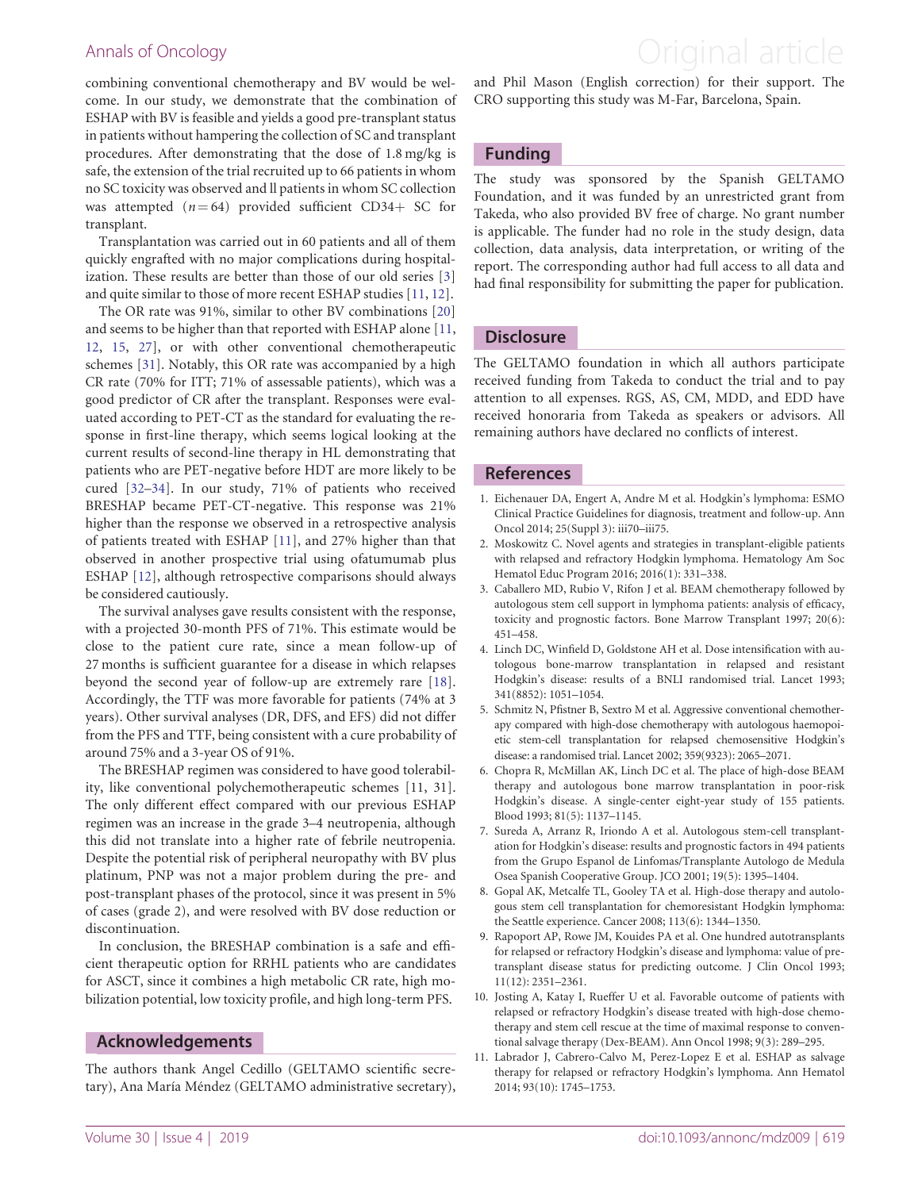combining conventional chemotherapy and BV would be welcome. In our study, we demonstrate that the combination of ESHAP with BV is feasible and yields a good pre-transplant status in patients without hampering the collection of SC and transplant procedures. After demonstrating that the dose of 1.8 mg/kg is safe, the extension of the trial recruited up to 66 patients in whom no SC toxicity was observed and ll patients in whom SC collection was attempted  $(n = 64)$  provided sufficient CD34+ SC for transplant.

Transplantation was carried out in 60 patients and all of them quickly engrafted with no major complications during hospitalization. These results are better than those of our old series [3] and quite similar to those of more recent ESHAP studies [11, [12\]](#page-8-0).

The OR rate was 91%, similar to other BV combinations [\[20](#page-8-0)] and seems to be higher than that reported with ESHAP alone [11, [12,](#page-8-0) [15](#page-8-0), [27](#page-8-0)], or with other conventional chemotherapeutic schemes [\[31\]](#page-8-0). Notably, this OR rate was accompanied by a high CR rate (70% for ITT; 71% of assessable patients), which was a good predictor of CR after the transplant. Responses were evaluated according to PET-CT as the standard for evaluating the response in first-line therapy, which seems logical looking at the current results of second-line therapy in HL demonstrating that patients who are PET-negative before HDT are more likely to be cured [[32–34\]](#page-8-0). In our study, 71% of patients who received BRESHAP became PET-CT-negative. This response was 21% higher than the response we observed in a retrospective analysis of patients treated with ESHAP [11], and 27% higher than that observed in another prospective trial using ofatumumab plus ESHAP [[12\]](#page-8-0), although retrospective comparisons should always be considered cautiously.

The survival analyses gave results consistent with the response, with a projected 30-month PFS of 71%. This estimate would be close to the patient cure rate, since a mean follow-up of 27 months is sufficient guarantee for a disease in which relapses beyond the second year of follow-up are extremely rare [[18](#page-8-0)]. Accordingly, the TTF was more favorable for patients (74% at 3 years). Other survival analyses (DR, DFS, and EFS) did not differ from the PFS and TTF, being consistent with a cure probability of around 75% and a 3-year OS of 91%.

The BRESHAP regimen was considered to have good tolerability, like conventional polychemotherapeutic schemes [11, 31]. The only different effect compared with our previous ESHAP regimen was an increase in the grade 3–4 neutropenia, although this did not translate into a higher rate of febrile neutropenia. Despite the potential risk of peripheral neuropathy with BV plus platinum, PNP was not a major problem during the pre- and post-transplant phases of the protocol, since it was present in 5% of cases (grade 2), and were resolved with BV dose reduction or discontinuation.

In conclusion, the BRESHAP combination is a safe and efficient therapeutic option for RRHL patients who are candidates for ASCT, since it combines a high metabolic CR rate, high mobilization potential, low toxicity profile, and high long-term PFS.

#### Acknowledgements

The authors thank Angel Cedillo (GELTAMO scientific secretary), Ana María Méndez (GELTAMO administrative secretary),

### <span id="page-7-0"></span>Annals of Oncology **Annals of Oncology Annal article**

and Phil Mason (English correction) for their support. The CRO supporting this study was M-Far, Barcelona, Spain.

#### Funding

The study was sponsored by the Spanish GELTAMO Foundation, and it was funded by an unrestricted grant from Takeda, who also provided BV free of charge. No grant number is applicable. The funder had no role in the study design, data collection, data analysis, data interpretation, or writing of the report. The corresponding author had full access to all data and had final responsibility for submitting the paper for publication.

#### **Disclosure**

The GELTAMO foundation in which all authors participate received funding from Takeda to conduct the trial and to pay attention to all expenses. RGS, AS, CM, MDD, and EDD have received honoraria from Takeda as speakers or advisors. All remaining authors have declared no conflicts of interest.

#### References

- [1.](#page-1-0) Eichenauer DA, Engert A, Andre M et al. Hodgkin's lymphoma: ESMO Clinical Practice Guidelines for diagnosis, treatment and follow-up. Ann Oncol 2014; 25(Suppl 3): iii70–iii75.
- [2.](#page-1-0) Moskowitz C. Novel agents and strategies in transplant-eligible patients with relapsed and refractory Hodgkin lymphoma. Hematology Am Soc Hematol Educ Program 2016; 2016(1): 331–338.
- [3.](#page-1-0) Caballero MD, Rubio V, Rifon J et al. BEAM chemotherapy followed by autologous stem cell support in lymphoma patients: analysis of efficacy, toxicity and prognostic factors. Bone Marrow Transplant 1997; 20(6): 451–458.
- 4. Linch DC, Winfield D, Goldstone AH et al. Dose intensification with autologous bone-marrow transplantation in relapsed and resistant Hodgkin's disease: results of a BNLI randomised trial. Lancet 1993; 341(8852): 1051–1054.
- [5.](#page-1-0) Schmitz N, Pfistner B, Sextro M et al. Aggressive conventional chemotherapy compared with high-dose chemotherapy with autologous haemopoietic stem-cell transplantation for relapsed chemosensitive Hodgkin's disease: a randomised trial. Lancet 2002; 359(9323): 2065–2071.
- [6.](#page-1-0) Chopra R, McMillan AK, Linch DC et al. The place of high-dose BEAM therapy and autologous bone marrow transplantation in poor-risk Hodgkin's disease. A single-center eight-year study of 155 patients. Blood 1993; 81(5): 1137–1145.
- 7. Sureda A, Arranz R, Iriondo A et al. Autologous stem-cell transplantation for Hodgkin's disease: results and prognostic factors in 494 patients from the Grupo Espanol de Linfomas/Transplante Autologo de Medula Osea Spanish Cooperative Group. JCO 2001; 19(5): 1395–1404.
- 8. Gopal AK, Metcalfe TL, Gooley TA et al. High-dose therapy and autologous stem cell transplantation for chemoresistant Hodgkin lymphoma: the Seattle experience. Cancer 2008; 113(6): 1344–1350.
- [9.](#page-1-0) Rapoport AP, Rowe JM, Kouides PA et al. One hundred autotransplants for relapsed or refractory Hodgkin's disease and lymphoma: value of pretransplant disease status for predicting outcome. J Clin Oncol 1993; 11(12): 2351–2361.
- [10.](#page-1-0) Josting A, Katay I, Rueffer U et al. Favorable outcome of patients with relapsed or refractory Hodgkin's disease treated with high-dose chemotherapy and stem cell rescue at the time of maximal response to conventional salvage therapy (Dex-BEAM). Ann Oncol 1998; 9(3): 289–295.
- [11.](#page-1-0) Labrador J, Cabrero-Calvo M, Perez-Lopez E et al. ESHAP as salvage therapy for relapsed or refractory Hodgkin's lymphoma. Ann Hematol 2014; 93(10): 1745–1753.